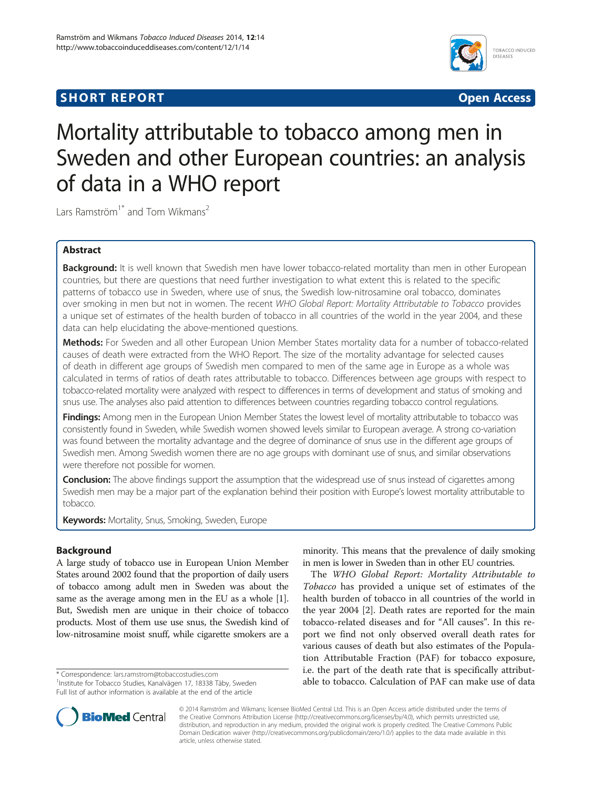# **SHORT REPORT CONTRACT CONTRACT CONTRACT CONTRACT CONTRACT CONTRACT CONTRACT CONTRACT CONTRACT CONTRACT CONTRACT CONTRACT CONTRACT CONTRACT CONTRACT CONTRACT CONTRACT CONTRACT CONTRACT CONTRACT CONTRACT CONTRACT CONTRACT C**



# Mortality attributable to tobacco among men in Sweden and other European countries: an analysis of data in a WHO report

Lars Ramström<sup>1\*</sup> and Tom Wikmans<sup>2</sup>

# Abstract

Background: It is well known that Swedish men have lower tobacco-related mortality than men in other European countries, but there are questions that need further investigation to what extent this is related to the specific patterns of tobacco use in Sweden, where use of snus, the Swedish low-nitrosamine oral tobacco, dominates over smoking in men but not in women. The recent WHO Global Report: Mortality Attributable to Tobacco provides a unique set of estimates of the health burden of tobacco in all countries of the world in the year 2004, and these data can help elucidating the above-mentioned questions.

Methods: For Sweden and all other European Union Member States mortality data for a number of tobacco-related causes of death were extracted from the WHO Report. The size of the mortality advantage for selected causes of death in different age groups of Swedish men compared to men of the same age in Europe as a whole was calculated in terms of ratios of death rates attributable to tobacco. Differences between age groups with respect to tobacco-related mortality were analyzed with respect to differences in terms of development and status of smoking and snus use. The analyses also paid attention to differences between countries regarding tobacco control regulations.

Findings: Among men in the European Union Member States the lowest level of mortality attributable to tobacco was consistently found in Sweden, while Swedish women showed levels similar to European average. A strong co-variation was found between the mortality advantage and the degree of dominance of snus use in the different age groups of Swedish men. Among Swedish women there are no age groups with dominant use of snus, and similar observations were therefore not possible for women.

**Conclusion:** The above findings support the assumption that the widespread use of snus instead of cigarettes among Swedish men may be a major part of the explanation behind their position with Europe's lowest mortality attributable to tobacco.

Keywords: Mortality, Snus, Smoking, Sweden, Europe

# Background

A large study of tobacco use in European Union Member States around 2002 found that the proportion of daily users of tobacco among adult men in Sweden was about the same as the average among men in the EU as a whole [[1](#page-3-0)]. But, Swedish men are unique in their choice of tobacco products. Most of them use use snus, the Swedish kind of low-nitrosamine moist snuff, while cigarette smokers are a

minority. This means that the prevalence of daily smoking in men is lower in Sweden than in other EU countries.

The WHO Global Report: Mortality Attributable to Tobacco has provided a unique set of estimates of the health burden of tobacco in all countries of the world in the year 2004 [[2\]](#page-3-0). Death rates are reported for the main tobacco-related diseases and for "All causes". In this report we find not only observed overall death rates for various causes of death but also estimates of the Population Attributable Fraction (PAF) for tobacco exposure, i.e. the part of the death rate that is specifically attributable to the part of the death rate that is specifically attribute that is appropriated the topacco. Calculation of PAF can make use of data \*  $\frac{1}{1}$  and the death rate that is specifically attributed in the use of data



© 2014 Ramström and Wikmans; licensee BioMed Central Ltd. This is an Open Access article distributed under the terms of the Creative Commons Attribution License [\(http://creativecommons.org/licenses/by/4.0\)](http://creativecommons.org/licenses/by/4.0), which permits unrestricted use, distribution, and reproduction in any medium, provided the original work is properly credited. The Creative Commons Public Domain Dedication waiver [\(http://creativecommons.org/publicdomain/zero/1.0/\)](http://creativecommons.org/publicdomain/zero/1.0/) applies to the data made available in this article, unless otherwise stated.

<sup>&</sup>lt;sup>1</sup> Institute for Tobacco Studies, Kanalvägen 17, 18338 Täby, Sweden Full list of author information is available at the end of the article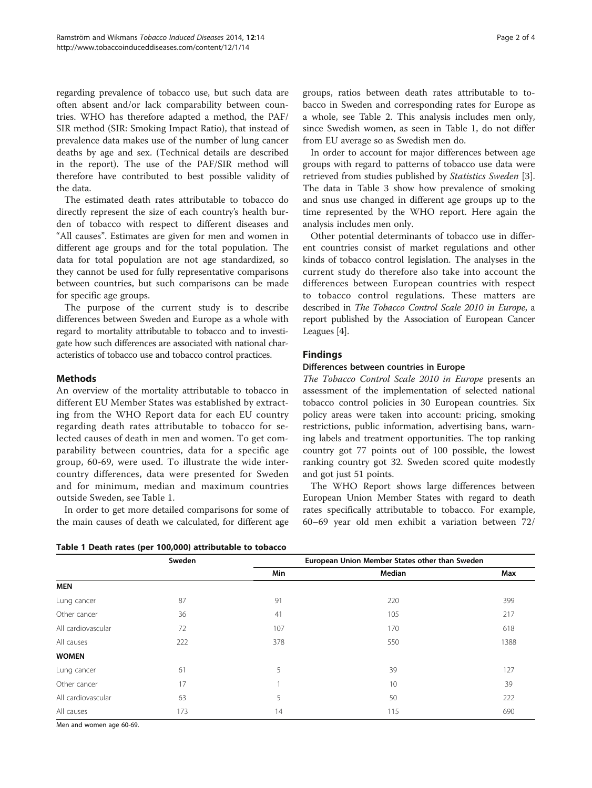<span id="page-1-0"></span>regarding prevalence of tobacco use, but such data are often absent and/or lack comparability between countries. WHO has therefore adapted a method, the PAF/ SIR method (SIR: Smoking Impact Ratio), that instead of prevalence data makes use of the number of lung cancer deaths by age and sex. (Technical details are described in the report). The use of the PAF/SIR method will therefore have contributed to best possible validity of the data.

The estimated death rates attributable to tobacco do directly represent the size of each country's health burden of tobacco with respect to different diseases and "All causes". Estimates are given for men and women in different age groups and for the total population. The data for total population are not age standardized, so they cannot be used for fully representative comparisons between countries, but such comparisons can be made for specific age groups.

The purpose of the current study is to describe differences between Sweden and Europe as a whole with regard to mortality attributable to tobacco and to investigate how such differences are associated with national characteristics of tobacco use and tobacco control practices.

# Methods

An overview of the mortality attributable to tobacco in different EU Member States was established by extracting from the WHO Report data for each EU country regarding death rates attributable to tobacco for selected causes of death in men and women. To get comparability between countries, data for a specific age group, 60-69, were used. To illustrate the wide intercountry differences, data were presented for Sweden and for minimum, median and maximum countries outside Sweden, see Table 1.

In order to get more detailed comparisons for some of the main causes of death we calculated, for different age

Table 1 Death rates (per 100,000) attributable to tobacco

groups, ratios between death rates attributable to tobacco in Sweden and corresponding rates for Europe as a whole, see Table [2.](#page-2-0) This analysis includes men only, since Swedish women, as seen in Table 1, do not differ from EU average so as Swedish men do.

In order to account for major differences between age groups with regard to patterns of tobacco use data were retrieved from studies published by Statistics Sweden [\[3](#page-3-0)]. The data in Table [3](#page-2-0) show how prevalence of smoking and snus use changed in different age groups up to the time represented by the WHO report. Here again the analysis includes men only.

Other potential determinants of tobacco use in different countries consist of market regulations and other kinds of tobacco control legislation. The analyses in the current study do therefore also take into account the differences between European countries with respect to tobacco control regulations. These matters are described in The Tobacco Control Scale 2010 in Europe, a report published by the Association of European Cancer Leagues [[4](#page-3-0)].

# Findings

# Differences between countries in Europe

The Tobacco Control Scale 2010 in Europe presents an assessment of the implementation of selected national tobacco control policies in 30 European countries. Six policy areas were taken into account: pricing, smoking restrictions, public information, advertising bans, warning labels and treatment opportunities. The top ranking country got 77 points out of 100 possible, the lowest ranking country got 32. Sweden scored quite modestly and got just 51 points.

The WHO Report shows large differences between European Union Member States with regard to death rates specifically attributable to tobacco. For example, 60–69 year old men exhibit a variation between 72/

|                    | Sweden | European Union Member States other than Sweden |        |      |
|--------------------|--------|------------------------------------------------|--------|------|
|                    |        | Min                                            | Median | Max  |
| <b>MEN</b>         |        |                                                |        |      |
| Lung cancer        | 87     | 91                                             | 220    | 399  |
| Other cancer       | 36     | 41                                             | 105    | 217  |
| All cardiovascular | 72     | 107                                            | 170    | 618  |
| All causes         | 222    | 378                                            | 550    | 1388 |
| <b>WOMEN</b>       |        |                                                |        |      |
| Lung cancer        | 61     | 5                                              | 39     | 127  |
| Other cancer       | 17     |                                                | 10     | 39   |
| All cardiovascular | 63     | 5                                              | 50     | 222  |
| All causes         | 173    | 14                                             | 115    | 690  |

Men and women age 60-69.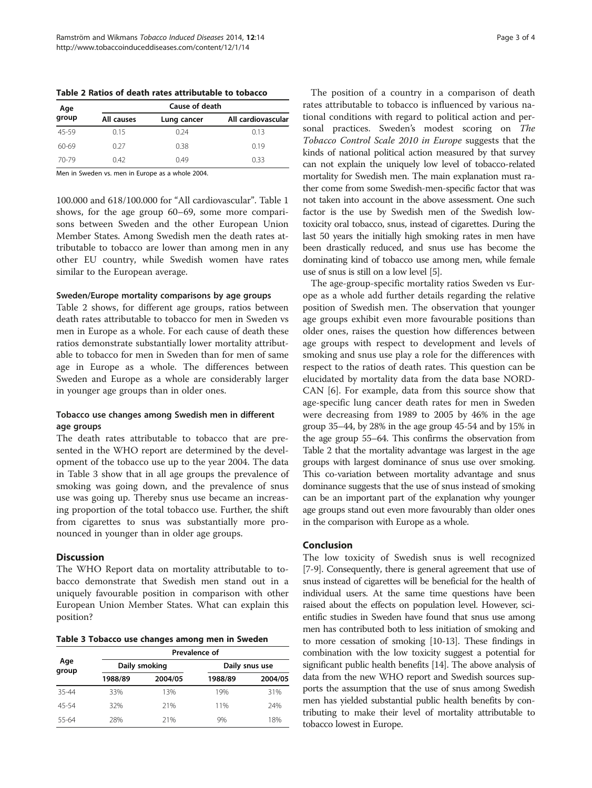<span id="page-2-0"></span>Table 2 Ratios of death rates attributable to tobacco

| Age<br>group | Cause of death |             |                    |  |  |
|--------------|----------------|-------------|--------------------|--|--|
|              | All causes     | Lung cancer | All cardiovascular |  |  |
| 45-59        | 0.15           | 0.24        | 0.13               |  |  |
| 60-69        | 0.27           | 0.38        | 0.19               |  |  |
| 70-79        | 0.42           | 049         | 0.33               |  |  |

Men in Sweden vs. men in Europe as a whole 2004.

100.000 and 618/100.000 for "All cardiovascular". Table [1](#page-1-0) shows, for the age group 60–69, some more comparisons between Sweden and the other European Union Member States. Among Swedish men the death rates attributable to tobacco are lower than among men in any other EU country, while Swedish women have rates similar to the European average.

#### Sweden/Europe mortality comparisons by age groups

Table 2 shows, for different age groups, ratios between death rates attributable to tobacco for men in Sweden vs men in Europe as a whole. For each cause of death these ratios demonstrate substantially lower mortality attributable to tobacco for men in Sweden than for men of same age in Europe as a whole. The differences between Sweden and Europe as a whole are considerably larger in younger age groups than in older ones.

## Tobacco use changes among Swedish men in different age groups

The death rates attributable to tobacco that are presented in the WHO report are determined by the development of the tobacco use up to the year 2004. The data in Table 3 show that in all age groups the prevalence of smoking was going down, and the prevalence of snus use was going up. Thereby snus use became an increasing proportion of the total tobacco use. Further, the shift from cigarettes to snus was substantially more pronounced in younger than in older age groups.

# **Discussion**

The WHO Report data on mortality attributable to tobacco demonstrate that Swedish men stand out in a uniquely favourable position in comparison with other European Union Member States. What can explain this position?

Table 3 Tobacco use changes among men in Sweden

| Age<br>group | Prevalence of |         |                |         |  |
|--------------|---------------|---------|----------------|---------|--|
|              | Daily smoking |         | Daily snus use |         |  |
|              | 1988/89       | 2004/05 | 1988/89        | 2004/05 |  |
| 35-44        | 33%           | 13%     | 19%            | 31%     |  |
| 45-54        | 32%           | 21%     | 11%            | 24%     |  |
| 55-64        | 28%           | 21%     | 9%             | 18%     |  |

The position of a country in a comparison of death rates attributable to tobacco is influenced by various national conditions with regard to political action and personal practices. Sweden's modest scoring on The Tobacco Control Scale 2010 in Europe suggests that the kinds of national political action measured by that survey can not explain the uniquely low level of tobacco-related mortality for Swedish men. The main explanation must rather come from some Swedish-men-specific factor that was not taken into account in the above assessment. One such factor is the use by Swedish men of the Swedish lowtoxicity oral tobacco, snus, instead of cigarettes. During the last 50 years the initially high smoking rates in men have been drastically reduced, and snus use has become the dominating kind of tobacco use among men, while female use of snus is still on a low level [\[5\]](#page-3-0).

The age-group-specific mortality ratios Sweden vs Europe as a whole add further details regarding the relative position of Swedish men. The observation that younger age groups exhibit even more favourable positions than older ones, raises the question how differences between age groups with respect to development and levels of smoking and snus use play a role for the differences with respect to the ratios of death rates. This question can be elucidated by mortality data from the data base NORD-CAN [[6\]](#page-3-0). For example, data from this source show that age-specific lung cancer death rates for men in Sweden were decreasing from 1989 to 2005 by 46% in the age group 35–44, by 28% in the age group 45-54 and by 15% in the age group 55–64. This confirms the observation from Table 2 that the mortality advantage was largest in the age groups with largest dominance of snus use over smoking. This co-variation between mortality advantage and snus dominance suggests that the use of snus instead of smoking can be an important part of the explanation why younger age groups stand out even more favourably than older ones in the comparison with Europe as a whole.

### Conclusion

The low toxicity of Swedish snus is well recognized [[7](#page-3-0)-[9\]](#page-3-0). Consequently, there is general agreement that use of snus instead of cigarettes will be beneficial for the health of individual users. At the same time questions have been raised about the effects on population level. However, scientific studies in Sweden have found that snus use among men has contributed both to less initiation of smoking and to more cessation of smoking [\[10-13\]](#page-3-0). These findings in combination with the low toxicity suggest a potential for significant public health benefits [\[14\]](#page-3-0). The above analysis of data from the new WHO report and Swedish sources supports the assumption that the use of snus among Swedish men has yielded substantial public health benefits by contributing to make their level of mortality attributable to tobacco lowest in Europe.